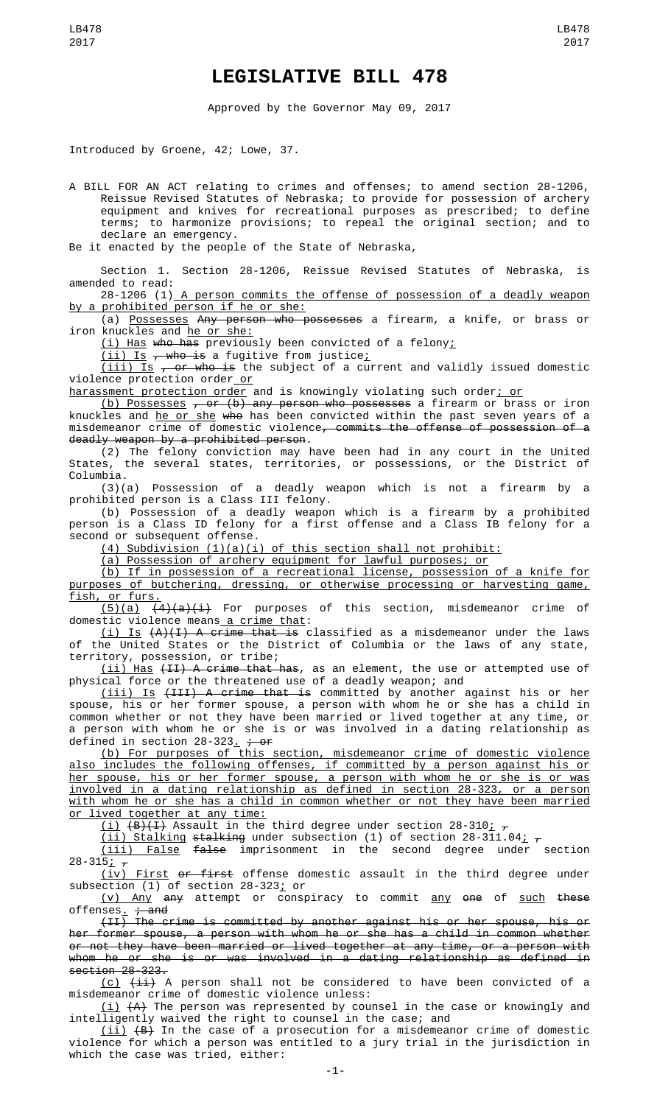## **LEGISLATIVE BILL 478**

Approved by the Governor May 09, 2017

Introduced by Groene, 42; Lowe, 37.

A BILL FOR AN ACT relating to crimes and offenses; to amend section 28-1206, Reissue Revised Statutes of Nebraska; to provide for possession of archery equipment and knives for recreational purposes as prescribed; to define terms; to harmonize provisions; to repeal the original section; and to declare an emergency.

Be it enacted by the people of the State of Nebraska,

Section 1. Section 28-1206, Reissue Revised Statutes of Nebraska, is amended to read:

28-1206 (1) A person commits the offense of possession of a deadly weapon by a prohibited person if he or she:

(a) Possesses Any person who possesses a firearm, a knife, or brass or iron knuckles and he or she:

(i) Has who has previously been convicted of a felony;

 $(iii)$  Is  $\overline{ }$ , who is a fugitive from justice;

 $(iii)$  Is  $\tau$  or who is the subject of a current and validly issued domestic violence protection order or

<u>harassment protection order</u> and is knowingly violating such order<u>; or</u>

<u>(b) Possesses</u> <del>, or (b) any person who possesses</del> a firearm or brass or iron knuckles and <u>he or she</u> <del>who</del> has been convicted within the past seven years of a misdemeanor crime of domestic violence<del>, commits the offense of possession of a</del> deadly weapon by a prohibited person.

(2) The felony conviction may have been had in any court in the United States, the several states, territories, or possessions, or the District of Columbia.

(3)(a) Possession of a deadly weapon which is not a firearm by a prohibited person is a Class III felony.

(b) Possession of a deadly weapon which is a firearm by a prohibited person is a Class ID felony for a first offense and a Class IB felony for a second or subsequent offense.

(4) Subdivision (1)(a)(i) of this section shall not prohibit:

(a) Possession of archery equipment for lawful purposes; or

(b) If in possession of a recreational license, possession of a knife for purposes of butchering, dressing, or otherwise processing or harvesting game, fish, or furs.

 $(5)(a)$   $(4)(a)(i)$  For purposes of this section, misdemeanor crime of domestic violence means a crime that:

 $(i)$  Is  $(A)(I)$  A crime that is classified as a misdemeanor under the laws of the United States or the District of Columbia or the laws of any state, territory, possession, or tribe;

 $(i)$  Has  $(H)$  A crime that has, as an element, the use or attempted use of physical force or the threatened use of a deadly weapon; and

(iii) Is (III) A crime that is committed by another against his or her spouse, his or her former spouse, a person with whom he or she has a child in common whether or not they have been married or lived together at any time, or a person with whom he or she is or was involved in a dating relationship as defined in section  $28-323$ .  $7.07$ 

(b) For purposes of this section, misdemeanor crime of domestic violence also includes the following offenses, if committed by a person against his or her spouse, his or her former spouse, a person with whom he or she is or was involved in a dating relationship as defined in section 28-323, or a person with whom he or she has a child in common whether or not they have been married or lived together at any time:

<u>(i)</u> <del>(B)(I)</del> Assault in the third degree under section 28-310<u>;</u>  $_\tau$ 

<u>(ii) Stalking stalking</u> under subsection (1) of section 28-311.04<u>;</u>  $_\tau$ 

(iii) False false imprisonment in the second degree under section 28-315<u>;</u> <del>,</del>

(iv) First or first offense domestic assault in the third degree under subsection (1) of section 28-323; or

(v) Any any attempt or conspiracy to commit any one of such these offenses<u>.</u> <del>; and</del>

(II) The crime is committed by another against his or her spouse, his or her former spouse, a person with whom he or she has a child in common whether or not they have been married or lived together at any time, or a person with whom he or she is or was involved in a dating relationship as defined in section 28-323.

(c)  $(ii)$  A person shall not be considered to have been convicted of a misdemeanor crime of domestic violence unless:

(i)  $\left( \texttt{A}\right)$  The person was represented by counsel in the case or knowingly and intelligently waived the right to counsel in the case; and

 $\lfloor \texttt{ii} \rfloor$   $\texttt{\{B\}}$  In the case of a prosecution for a misdemeanor crime of domestic violence for which a person was entitled to a jury trial in the jurisdiction in which the case was tried, either: